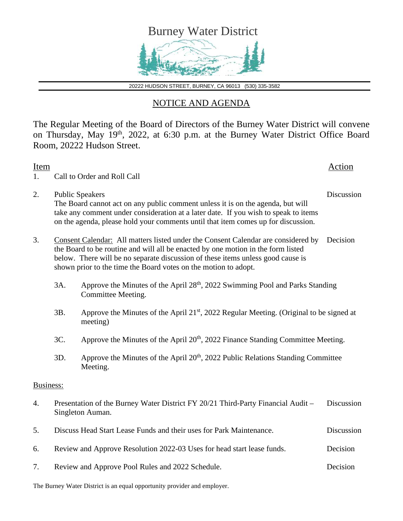

20222 HUDSON STREET, BURNEY, CA 96013 (530) 335-3582

## NOTICE AND AGENDA

The Regular Meeting of the Board of Directors of the Burney Water District will convene on Thursday, May 19<sup>th</sup>, 2022, at 6:30 p.m. at the Burney Water District Office Board Room, 20222 Hudson Street.

| Item<br>1.       | Call to Order and Roll Call                                                                                                                                                                                                                                                                                                 |                                                                                                                 |  |  |
|------------------|-----------------------------------------------------------------------------------------------------------------------------------------------------------------------------------------------------------------------------------------------------------------------------------------------------------------------------|-----------------------------------------------------------------------------------------------------------------|--|--|
| 2.               | Discussion<br><b>Public Speakers</b><br>The Board cannot act on any public comment unless it is on the agenda, but will<br>take any comment under consideration at a later date. If you wish to speak to items<br>on the agenda, please hold your comments until that item comes up for discussion.                         |                                                                                                                 |  |  |
| 3.               | Consent Calendar: All matters listed under the Consent Calendar are considered by<br>the Board to be routine and will all be enacted by one motion in the form listed<br>below. There will be no separate discussion of these items unless good cause is<br>shown prior to the time the Board votes on the motion to adopt. | Decision                                                                                                        |  |  |
|                  | 3A.                                                                                                                                                                                                                                                                                                                         | Approve the Minutes of the April 28 <sup>th</sup> , 2022 Swimming Pool and Parks Standing<br>Committee Meeting. |  |  |
|                  | 3B.                                                                                                                                                                                                                                                                                                                         | Approve the Minutes of the April 21 <sup>st</sup> , 2022 Regular Meeting. (Original to be signed at<br>meeting) |  |  |
|                  | 3C.                                                                                                                                                                                                                                                                                                                         | Approve the Minutes of the April 20 <sup>th</sup> , 2022 Finance Standing Committee Meeting.                    |  |  |
|                  | Approve the Minutes of the April 20 <sup>th</sup> , 2022 Public Relations Standing Committee<br>3D.<br>Meeting.                                                                                                                                                                                                             |                                                                                                                 |  |  |
| Business:        |                                                                                                                                                                                                                                                                                                                             |                                                                                                                 |  |  |
| $\overline{4}$ . | Presentation of the Burney Water District FY 20/21 Third-Party Financial Audit -<br>Discussion<br>Singleton Auman.                                                                                                                                                                                                          |                                                                                                                 |  |  |
| 5.               | Discussion<br>Discuss Head Start Lease Funds and their uses for Park Maintenance.                                                                                                                                                                                                                                           |                                                                                                                 |  |  |
| 6.               | Review and Approve Resolution 2022-03 Uses for head start lease funds.<br>Decision                                                                                                                                                                                                                                          |                                                                                                                 |  |  |
| 7.               | Review and Approve Pool Rules and 2022 Schedule.<br>Decision                                                                                                                                                                                                                                                                |                                                                                                                 |  |  |

The Burney Water District is an equal opportunity provider and employer.